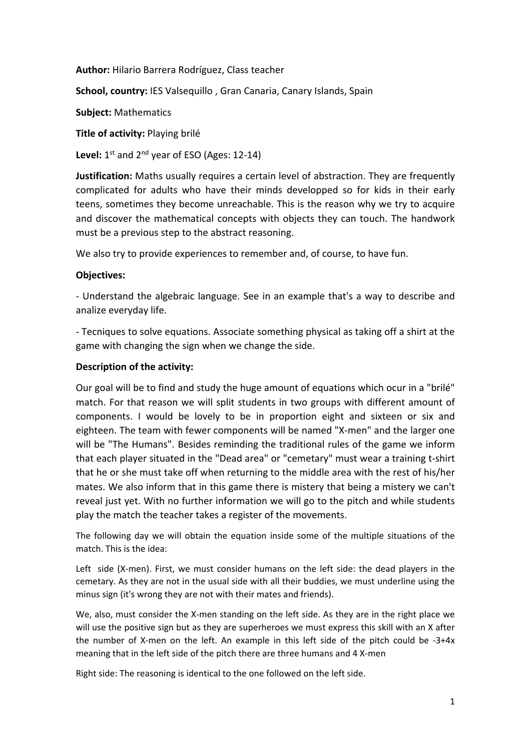**Author:** Hilario Barrera Rodríguez, Class teacher

**School, country:** IES Valsequillo , Gran Canaria, Canary Islands, Spain

**Subject:** Mathematics

**Title of activity:** Playing brilé

**Level:** 1st and 2nd year of ESO (Ages: 12‐14)

**Justification:** Maths usually requires a certain level of abstraction. They are frequently complicated for adults who have their minds developped so for kids in their early teens, sometimes they become unreachable. This is the reason why we try to acquire and discover the mathematical concepts with objects they can touch. The handwork must be a previous step to the abstract reasoning.

We also try to provide experiences to remember and, of course, to have fun.

# **Objectives:**

‐ Understand the algebraic language. See in an example that's a way to describe and analize everyday life.

‐ Tecniques to solve equations. Associate something physical as taking off a shirt at the game with changing the sign when we change the side.

# **Description of the activity:**

Our goal will be to find and study the huge amount of equations which ocur in a "brilé" match. For that reason we will split students in two groups with different amount of components. I would be lovely to be in proportion eight and sixteen or six and eighteen. The team with fewer components will be named "X‐men" and the larger one will be "The Humans". Besides reminding the traditional rules of the game we inform that each player situated in the "Dead area" or "cemetary" must wear a training t‐shirt that he or she must take off when returning to the middle area with the rest of his/her mates. We also inform that in this game there is mistery that being a mistery we can't reveal just yet. With no further information we will go to the pitch and while students play the match the teacher takes a register of the movements.

The following day we will obtain the equation inside some of the multiple situations of the match. This is the idea:

Left side (X-men). First, we must consider humans on the left side: the dead players in the cemetary. As they are not in the usual side with all their buddies, we must underline using the minus sign (it's wrong they are not with their mates and friends).

We, also, must consider the X-men standing on the left side. As they are in the right place we will use the positive sign but as they are superheroes we must express this skill with an X after the number of X-men on the left. An example in this left side of the pitch could be  $-3+4x$ meaning that in the left side of the pitch there are three humans and 4 X‐men

Right side: The reasoning is identical to the one followed on the left side.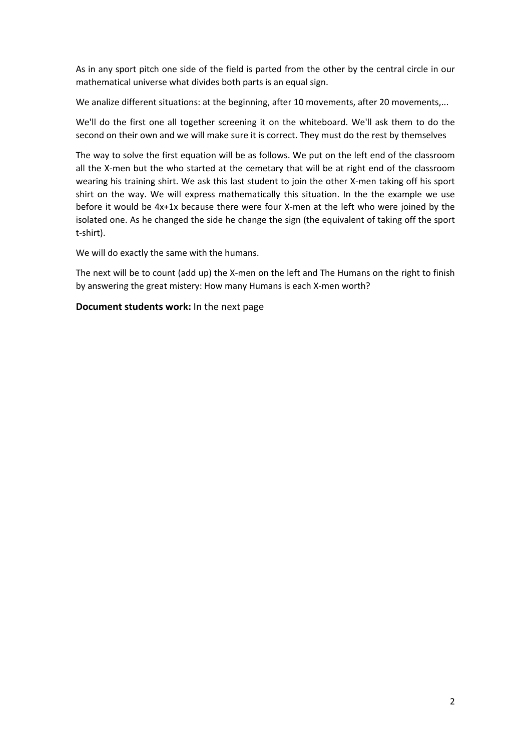As in any sport pitch one side of the field is parted from the other by the central circle in our mathematical universe what divides both parts is an equal sign.

We analize different situations: at the beginning, after 10 movements, after 20 movements,...

We'll do the first one all together screening it on the whiteboard. We'll ask them to do the second on their own and we will make sure it is correct. They must do the rest by themselves

The way to solve the first equation will be as follows. We put on the left end of the classroom all the X-men but the who started at the cemetary that will be at right end of the classroom wearing his training shirt. We ask this last student to join the other X-men taking off his sport shirt on the way. We will express mathematically this situation. In the the example we use before it would be 4x+1x because there were four X-men at the left who were joined by the isolated one. As he changed the side he change the sign (the equivalent of taking off the sport t‐shirt).

We will do exactly the same with the humans.

The next will be to count (add up) the X-men on the left and The Humans on the right to finish by answering the great mistery: How many Humans is each X-men worth?

**Document students work:** In the next page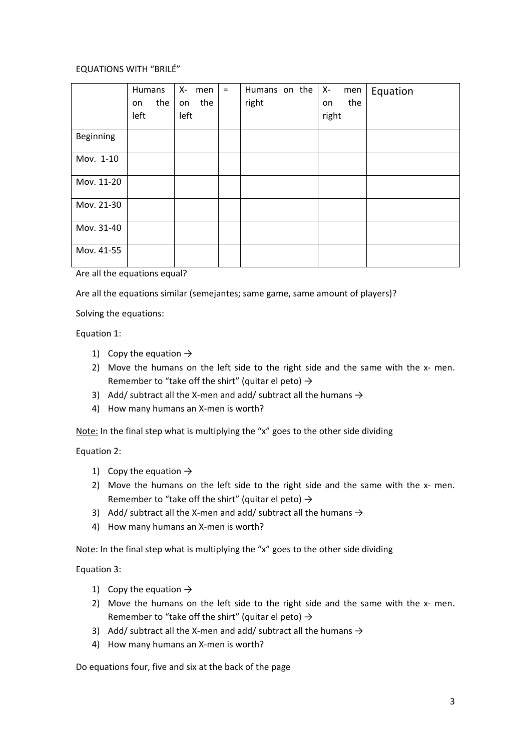## EQUATIONS WITH "BRILÉ"

|            | Humans<br>the<br>on<br>left | X-<br>men<br>the<br>on<br>left | $=$ | Humans on the<br>right | $X-$<br>men<br>the<br>on<br>right | Equation |
|------------|-----------------------------|--------------------------------|-----|------------------------|-----------------------------------|----------|
| Beginning  |                             |                                |     |                        |                                   |          |
| Mov. 1-10  |                             |                                |     |                        |                                   |          |
| Mov. 11-20 |                             |                                |     |                        |                                   |          |
| Mov. 21-30 |                             |                                |     |                        |                                   |          |
| Mov. 31-40 |                             |                                |     |                        |                                   |          |
| Mov. 41-55 |                             |                                |     |                        |                                   |          |

Are all the equations equal?

Are all the equations similar (semejantes; same game, same amount of players)?

Solving the equations:

Equation 1:

- 1) Copy the equation  $\rightarrow$
- 2) Move the humans on the left side to the right side and the same with the x- men. Remember to "take off the shirt" (quitar el peto)  $\rightarrow$
- 3) Add/ subtract all the X-men and add/ subtract all the humans  $\rightarrow$
- 4) How many humans an X-men is worth?

Note: In the final step what is multiplying the "x" goes to the other side dividing

Equation 2:

- 1) Copy the equation  $\rightarrow$
- 2) Move the humans on the left side to the right side and the same with the  $x$  men. Remember to "take off the shirt" (quitar el peto)  $\rightarrow$
- 3) Add/ subtract all the X-men and add/ subtract all the humans  $\rightarrow$
- 4) How many humans an X-men is worth?

Note: In the final step what is multiplying the "x" goes to the other side dividing

Equation 3:

- 1) Copy the equation  $\rightarrow$
- 2) Move the humans on the left side to the right side and the same with the x- men. Remember to "take off the shirt" (quitar el peto)  $\rightarrow$
- 3) Add/ subtract all the X-men and add/ subtract all the humans  $\rightarrow$
- 4) How many humans an X-men is worth?

Do equations four, five and six at the back of the page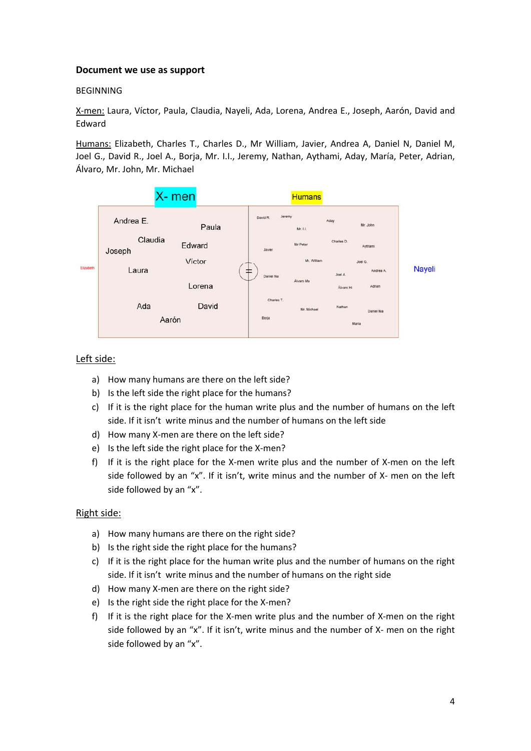### **Document we use as support**

### BEGINNING

X‐men: Laura, Víctor, Paula, Claudia, Nayeli, Ada, Lorena, Andrea E., Joseph, Aarón, David and Edward

Humans: Elizabeth, Charles T., Charles D., Mr William, Javier, Andrea A, Daniel N, Daniel M, Joel G., David R., Joel A., Borja, Mr. I.I., Jeremy, Nathan, Aythami, Aday, María, Peter, Adrian, Álvaro, Mr. John, Mr. Michael



## Left side:

- a) How many humans are there on the left side?
- b) Is the left side the right place for the humans?
- c) If it is the right place for the human write plus and the number of humans on the left side. If it isn't write minus and the number of humans on the left side
- d) How many X‐men are there on the left side?
- e) Is the left side the right place for the X-men?
- f) If it is the right place for the X-men write plus and the number of X-men on the left side followed by an "x". If it isn't, write minus and the number of  $X$ - men on the left side followed by an "x".

## Right side:

- a) How many humans are there on the right side?
- b) Is the right side the right place for the humans?
- c) If it is the right place for the human write plus and the number of humans on the right side. If it isn't write minus and the number of humans on the right side
- d) How many X‐men are there on the right side?
- e) Is the right side the right place for the X-men?
- f) If it is the right place for the X-men write plus and the number of X-men on the right side followed by an "x". If it isn't, write minus and the number of X- men on the right side followed by an "x".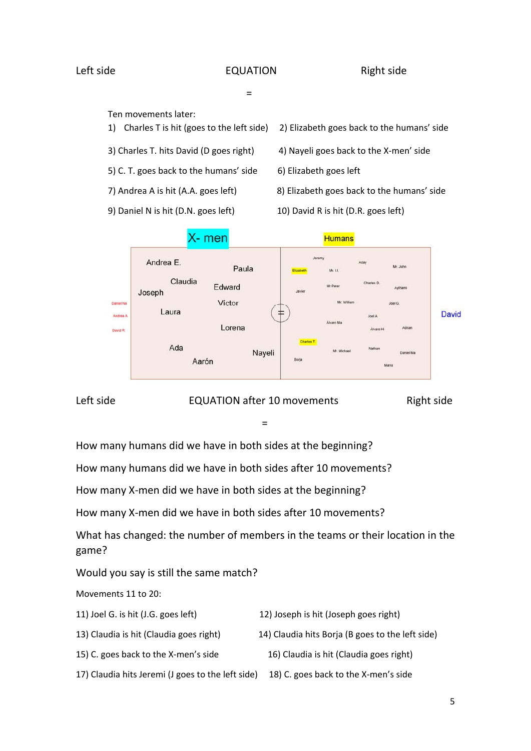# Left side **EQUATION** Right side

- 1990년 1월 1일 - 1990년 1월 1일 - 1990년 1월 1일 - 1990년 1월 1일 - 1990년 1월 1일 - 1990년 1월 1일 - 1990년 1월 1일 - 1990년 1월 1<br>대한민국의 대한민국의 대한민국의 대한민국의 대한민국의 대한민국의 대한민국의 대한민국의 대한민국의 대한민국의 대한민국의 대한민국의 대한민국의 대한민국의 대한민국의 대한민국의 대한민국의 대한민국의 대

Ten movements later:

- 
- 
- 5) C. T. goes back to the humans' side 6) Elizabeth goes left
- 
- 
- 1) Charles T is hit (goes to the left side) 2) Elizabeth goes back to the humans' side
- 3) Charles T. hits David (D goes right) 4) Nayeli goes back to the X‐men' side
	-
- 7) Andrea A is hit (A.A. goes left) 8) Elizabeth goes back to the humans' side
- 9) Daniel N is hit (D.N. goes left) 10) David R is hit (D.R. goes left)



Left side **EQUATION** after 10 movements

Right side

- 1990년 1월 1일 - 1월 1일 - 1월 1일 - 1월 1일 - 1월 1일 - 1월 1일 - 1월 1일 - 1월 1일 - 1월 1일 - 1월 1일 - 1월 1일 - 1월 1일 - 1월 1일<br>1990년 - 1월 1일 - 1월 1일 - 1월 1일 - 1월 1일 - 1월 1일 - 1월 1일 - 1월 1일 - 1월 1일 - 1월 1일 - 1월 1일 - 1월 1일 - 1월 1일 - 1월 1일

How many humans did we have in both sides at the beginning?

How many humans did we have in both sides after 10 movements?

How many X‐men did we have in both sides at the beginning?

How many X‐men did we have in both sides after 10 movements?

What has changed: the number of members in the teams or their location in the game?

Would you say is still the same match?

Movements 11 to 20:

- 11) Joel G. is hit (J.G. goes left) 12) Joseph is hit (Joseph goes right)
- 13) Claudia is hit (Claudia goes right) 14) Claudia hits Borja (B goes to the left side)
	- 15) C. goes back to the X-men's side **16** Claudia is hit (Claudia goes right)
- 
- - 17) Claudia hits Jeremi (J goes to the left side) 18) C. goes back to the X-men's side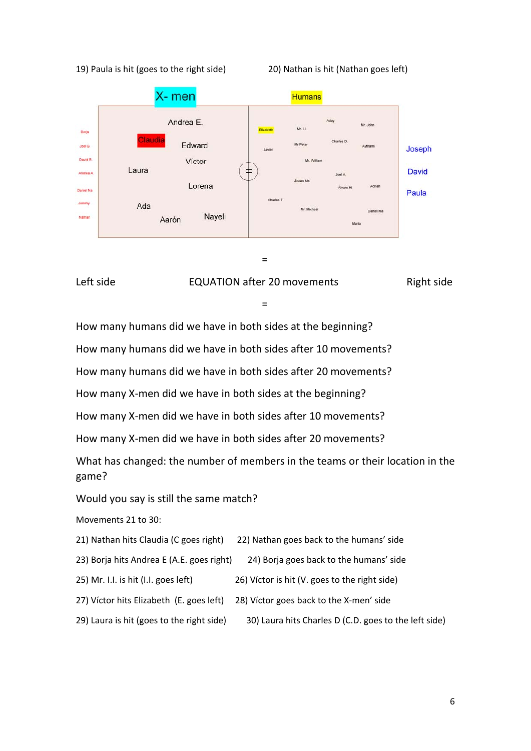### 19) Paula is hit (goes to the right side) 20) Nathan is hit (Nathan goes left)



the contract of the contract of the contract of the contract of the contract of the contract of the contract of



- 1990년 1월 1일 - 1월 1일 - 1월 1일 - 1월 1일 - 1월 1일 - 1월 1일 - 1월 1일 - 1월 1일 - 1월 1일 - 1월 1일 - 1월 1일 - 1월 1일 - 1월 1일<br>1990년 - 1월 1일 - 1월 1일 - 1월 1일 - 1월 1일 - 1월 1일 - 1월 1일 - 1월 1일 - 1월 1일 - 1월 1일 - 1월 1일 - 1월 1일 - 1월 1일 - 1월 1일

How many humans did we have in both sides at the beginning?

How many humans did we have in both sides after 10 movements?

How many humans did we have in both sides after 20 movements?

How many X‐men did we have in both sides at the beginning?

How many X‐men did we have in both sides after 10 movements?

How many X‐men did we have in both sides after 20 movements?

What has changed: the number of members in the teams or their location in the game?

Would you say is still the same match?

Movements 21 to 30:

| 21) Nathan hits Claudia (C goes right) | 22) Nathan goes back to the humans' side |
|----------------------------------------|------------------------------------------|
|                                        |                                          |

23) Borja hits Andrea E (A.E. goes right) 24) Borja goes back to the humans' side

25) Mr. I.I. is hit (I.I. goes left) 26) Víctor is hit (V. goes to the right side)

- 27) Víctor hits Elizabeth (E. goes left) 28) Víctor goes back to the X-men' side
- 29) Laura is hit (goes to the right side) 30) Laura hits Charles D (C.D. goes to the left side)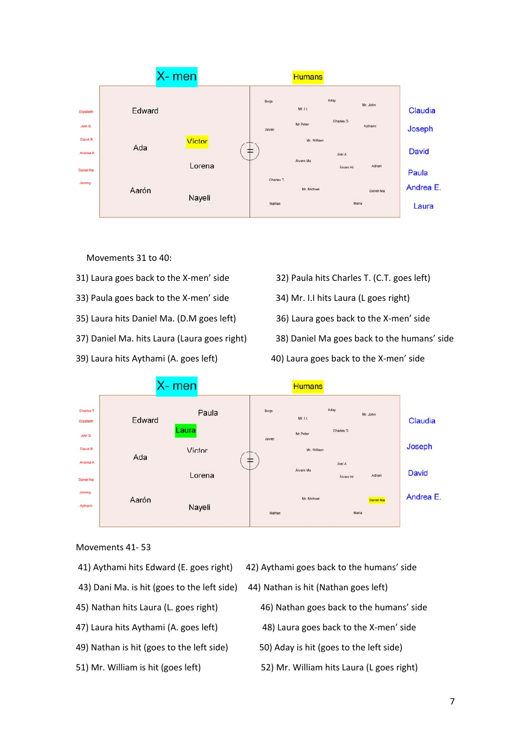

Movements 31 to 40:

- 
- 33) Paula goes back to the X‐men' side 34) Mr. I.I hits Laura (L goes right)
- 35) Laura hits Daniel Ma. (D.M goes left) 36) Laura goes back to the X‐men' side
- 
- 



- 
- 
- 37) Daniel Ma. hits Laura (Laura goes right) 38) Daniel Ma goes back to the humans' side
- 39) Laura hits Aythami (A. goes left) 40) Laura goes back to the X‐men' side



### Movements 41‐ 53

- 
- 43) Dani Ma. is hit (goes to the left side) 44) Nathan is hit (Nathan goes left)
- 
- 
- 49) Nathan is hit (goes to the left side) 50) Aday is hit (goes to the left side)
- 
- 41) Aythami hits Edward (E. goes right) 42) Aythami goes back to the humans' side
	-
- 45) Nathan hits Laura (L. goes right) 46) Nathan goes back to the humans' side
- 47) Laura hits Aythami (A. goes left) 48) Laura goes back to the X‐men' side
	-
- 51) Mr. William is hit (goes left) 52) Mr. William hits Laura (L goes right)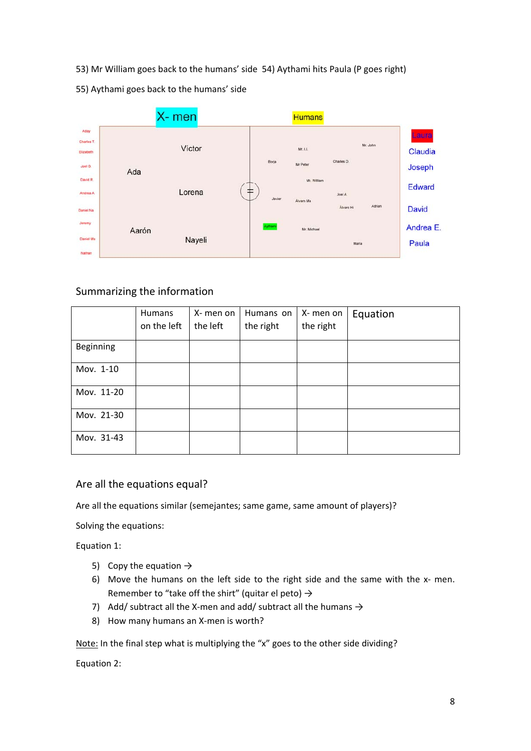- 53) Mr William goes back to the humans' side 54) Aythami hits Paula (P goes right)
- 55) Aythami goes back to the humans' side



# Summarizing the information

|            | <b>Humans</b><br>on the left | X- men on<br>the left | Humans on<br>the right | X-men on<br>the right | Equation |
|------------|------------------------------|-----------------------|------------------------|-----------------------|----------|
| Beginning  |                              |                       |                        |                       |          |
| Mov. 1-10  |                              |                       |                        |                       |          |
| Mov. 11-20 |                              |                       |                        |                       |          |
| Mov. 21-30 |                              |                       |                        |                       |          |
| Mov. 31-43 |                              |                       |                        |                       |          |

# Are all the equations equal?

Are all the equations similar (semejantes; same game, same amount of players)?

Solving the equations:

Equation 1:

- 5) Copy the equation  $\rightarrow$
- 6) Move the humans on the left side to the right side and the same with the x- men. Remember to "take off the shirt" (quitar el peto)  $\rightarrow$
- 7) Add/ subtract all the X-men and add/ subtract all the humans  $\rightarrow$
- 8) How many humans an X-men is worth?

Note: In the final step what is multiplying the "x" goes to the other side dividing?

Equation 2: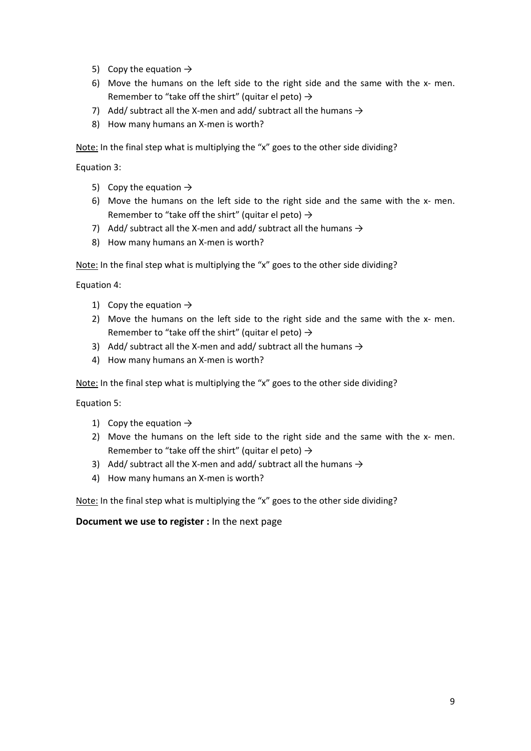- 5) Copy the equation  $\rightarrow$
- 6) Move the humans on the left side to the right side and the same with the x- men. Remember to "take off the shirt" (quitar el peto)  $\rightarrow$
- 7) Add/ subtract all the X-men and add/ subtract all the humans  $\rightarrow$
- 8) How many humans an X-men is worth?

Note: In the final step what is multiplying the "x" goes to the other side dividing?

Equation 3:

- 5) Copy the equation  $\rightarrow$
- 6) Move the humans on the left side to the right side and the same with the  $x$  men. Remember to "take off the shirt" (quitar el peto)  $\rightarrow$
- 7) Add/ subtract all the X-men and add/ subtract all the humans  $\rightarrow$
- 8) How many humans an X-men is worth?

Note: In the final step what is multiplying the "x" goes to the other side dividing?

Equation 4:

- 1) Copy the equation  $\rightarrow$
- 2) Move the humans on the left side to the right side and the same with the x- men. Remember to "take off the shirt" (quitar el peto)  $\rightarrow$
- 3) Add/ subtract all the X-men and add/ subtract all the humans  $\rightarrow$
- 4) How many humans an X-men is worth?

Note: In the final step what is multiplying the "x" goes to the other side dividing?

Equation 5:

- 1) Copy the equation  $\rightarrow$
- 2) Move the humans on the left side to the right side and the same with the x- men. Remember to "take off the shirt" (quitar el peto)  $\rightarrow$
- 3) Add/ subtract all the X-men and add/ subtract all the humans  $\rightarrow$
- 4) How many humans an X-men is worth?

Note: In the final step what is multiplying the "x" goes to the other side dividing?

**Document we use to register :** In the next page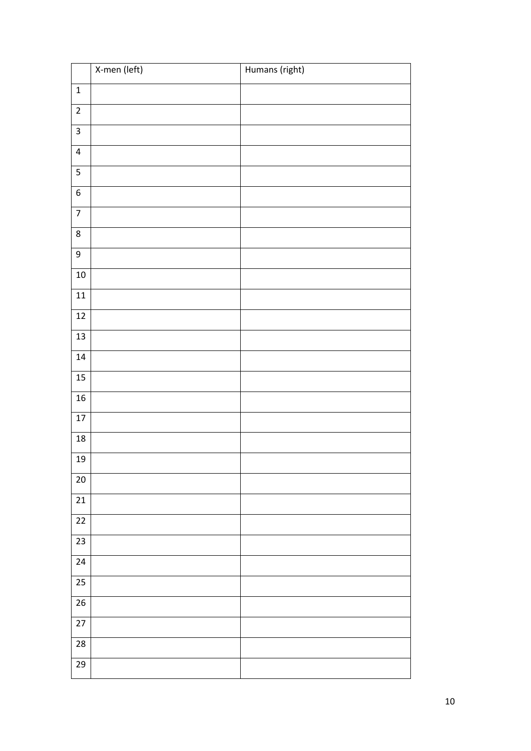|                         | X-men (left) | Humans (right) |
|-------------------------|--------------|----------------|
| $\mathbf 1$             |              |                |
| $\overline{c}$          |              |                |
| $\overline{3}$          |              |                |
| $\overline{\mathbf{4}}$ |              |                |
| 5                       |              |                |
| $\overline{6}$          |              |                |
| $\overline{7}$          |              |                |
| 8                       |              |                |
| 9                       |              |                |
| $10\,$                  |              |                |
| ${\bf 11}$              |              |                |
| $\overline{12}$         |              |                |
| $\overline{13}$         |              |                |
| 14                      |              |                |
| $15$                    |              |                |
| ${\bf 16}$              |              |                |
| $17\,$<br>$18\,$        |              |                |
| 19                      |              |                |
| $20\,$                  |              |                |
| 21                      |              |                |
| $\overline{22}$         |              |                |
| 23                      |              |                |
| 24                      |              |                |
| $\overline{25}$         |              |                |
| 26                      |              |                |
| $\overline{27}$         |              |                |
| 28                      |              |                |
| 29                      |              |                |
|                         |              |                |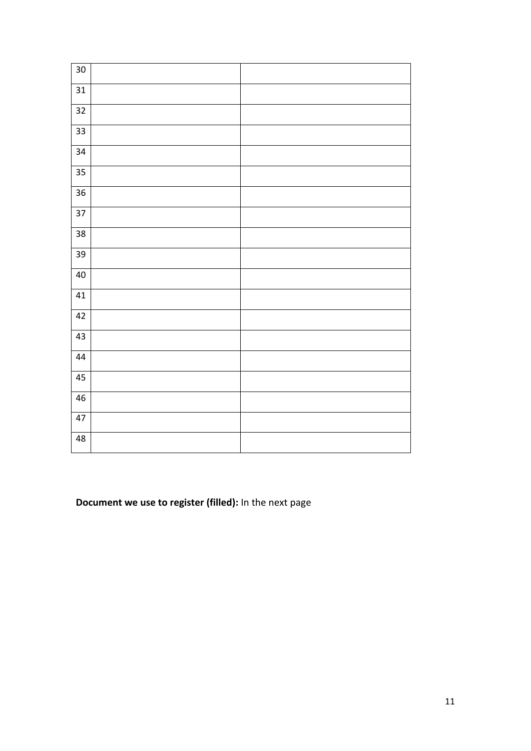| 30              |  |
|-----------------|--|
| 31              |  |
| 32              |  |
| $\overline{33}$ |  |
| $\overline{34}$ |  |
| 35              |  |
| $\overline{36}$ |  |
| $\overline{37}$ |  |
| 38              |  |
| 39              |  |
| 40              |  |
| 41              |  |
| 42              |  |
| 43              |  |
| 44              |  |
| 45              |  |
| 46              |  |
| 47              |  |
| $48$            |  |

**Document we use to register (filled):** In the next page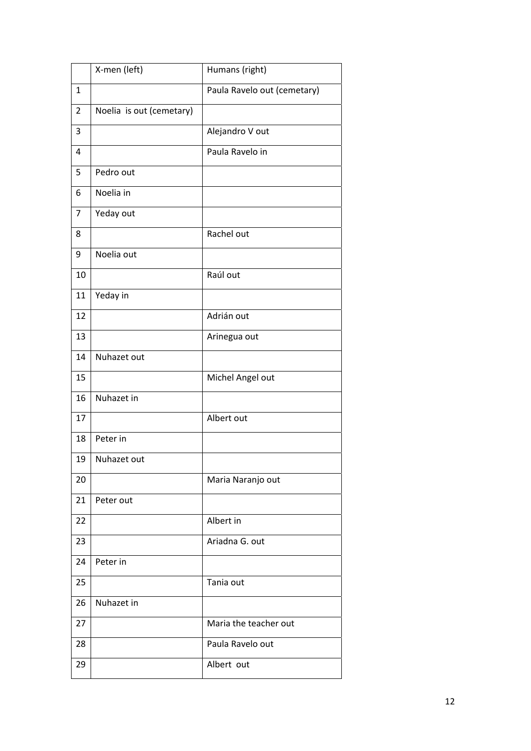|                | X-men (left)             | Humans (right)              |
|----------------|--------------------------|-----------------------------|
| $\mathbf{1}$   |                          | Paula Ravelo out (cemetary) |
| $\overline{2}$ | Noelia is out (cemetary) |                             |
| 3              |                          | Alejandro V out             |
| 4              |                          | Paula Ravelo in             |
| 5              | Pedro out                |                             |
| 6              | Noelia in                |                             |
| 7              | Yeday out                |                             |
| 8              |                          | Rachel out                  |
| 9              | Noelia out               |                             |
| 10             |                          | Raúl out                    |
| 11             | Yeday in                 |                             |
| 12             |                          | Adrián out                  |
| 13             |                          | Arinegua out                |
| 14             | Nuhazet out              |                             |
| 15             |                          | Michel Angel out            |
| 16             | Nuhazet in               |                             |
| 17             |                          | Albert out                  |
| 18             | Peter in                 |                             |
| 19             | Nuhazet out              |                             |
| 20             |                          | Maria Naranjo out           |
| 21             | Peter out                |                             |
| 22             |                          | Albert in                   |
| 23             |                          | Ariadna G. out              |
| 24             | Peter in                 |                             |
| 25             |                          | Tania out                   |
| 26             | Nuhazet in               |                             |
| 27             |                          | Maria the teacher out       |
| 28             |                          | Paula Ravelo out            |
| 29             |                          | Albert out                  |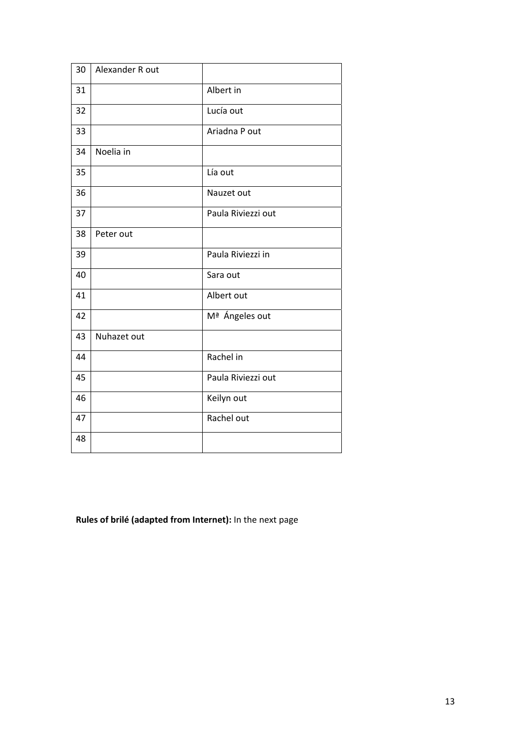| 30 | Alexander R out |                    |
|----|-----------------|--------------------|
| 31 |                 | Albert in          |
| 32 |                 | Lucía out          |
| 33 |                 | Ariadna P out      |
| 34 | Noelia in       |                    |
| 35 |                 | Lía out            |
| 36 |                 | Nauzet out         |
| 37 |                 | Paula Riviezzi out |
| 38 | Peter out       |                    |
| 39 |                 | Paula Riviezzi in  |
| 40 |                 | Sara out           |
| 41 |                 | Albert out         |
| 42 |                 | Mª Ángeles out     |
| 43 | Nuhazet out     |                    |
| 44 |                 | Rachel in          |
| 45 |                 | Paula Riviezzi out |
| 46 |                 | Keilyn out         |
| 47 |                 | Rachel out         |
| 48 |                 |                    |

**Rules of brilé (adapted from Internet):** In the next page